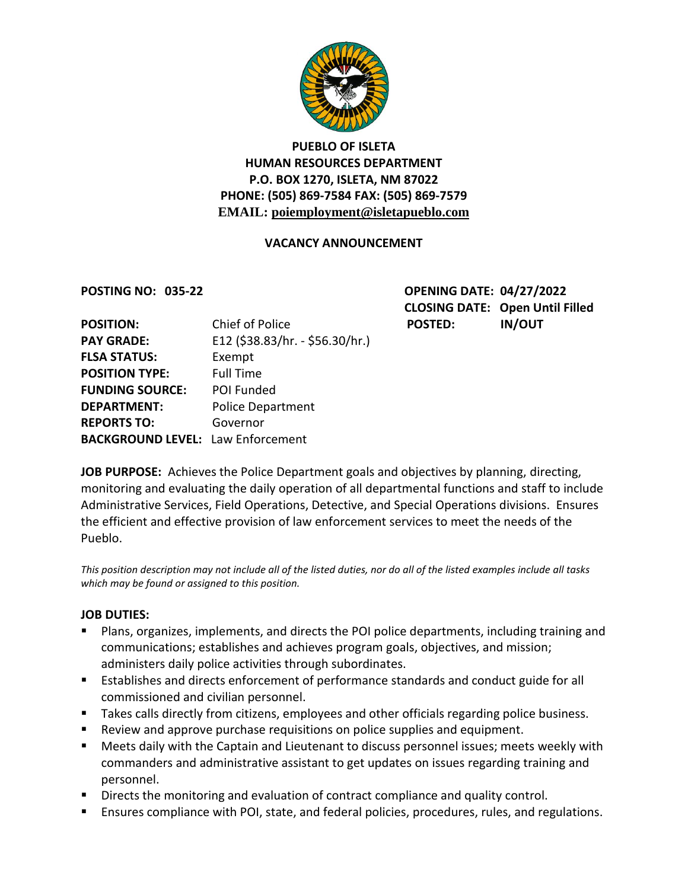

# **PUEBLO OF ISLETA HUMAN RESOURCES DEPARTMENT P.O. BOX 1270, ISLETA, NM 87022 PHONE: (505) 869-7584 FAX: (505) 869-7579 EMAIL: poiemployment@isletapueblo.com**

#### **VACANCY ANNOUNCEMENT**

**POSTING NO: 035-22 OPENING DATE: 04/27/2022 CLOSING DATE: Open Until Filled**

| <b>POSITION:</b>                         | Chief of Police                 | <b>POSTED:</b> | <b>IN/OUT</b> |
|------------------------------------------|---------------------------------|----------------|---------------|
| <b>PAY GRADE:</b>                        | E12 (\$38.83/hr. - \$56.30/hr.) |                |               |
| <b>FLSA STATUS:</b>                      | Exempt                          |                |               |
| <b>POSITION TYPE:</b>                    | <b>Full Time</b>                |                |               |
| <b>FUNDING SOURCE:</b>                   | POI Funded                      |                |               |
| <b>DEPARTMENT:</b>                       | <b>Police Department</b>        |                |               |
| <b>REPORTS TO:</b>                       | Governor                        |                |               |
| <b>BACKGROUND LEVEL: Law Enforcement</b> |                                 |                |               |
|                                          |                                 |                |               |

**JOB PURPOSE:** Achieves the Police Department goals and objectives by planning, directing, monitoring and evaluating the daily operation of all departmental functions and staff to include Administrative Services, Field Operations, Detective, and Special Operations divisions. Ensures the efficient and effective provision of law enforcement services to meet the needs of the Pueblo.

*This position description may not include all of the listed duties, nor do all of the listed examples include all tasks which may be found or assigned to this position.*

#### **JOB DUTIES:**

- Plans, organizes, implements, and directs the POI police departments, including training and communications; establishes and achieves program goals, objectives, and mission; administers daily police activities through subordinates.
- Establishes and directs enforcement of performance standards and conduct guide for all commissioned and civilian personnel.
- Takes calls directly from citizens, employees and other officials regarding police business.
- Review and approve purchase requisitions on police supplies and equipment.
- **Meets daily with the Captain and Lieutenant to discuss personnel issues; meets weekly with** commanders and administrative assistant to get updates on issues regarding training and personnel.
- Directs the monitoring and evaluation of contract compliance and quality control.
- Ensures compliance with POI, state, and federal policies, procedures, rules, and regulations.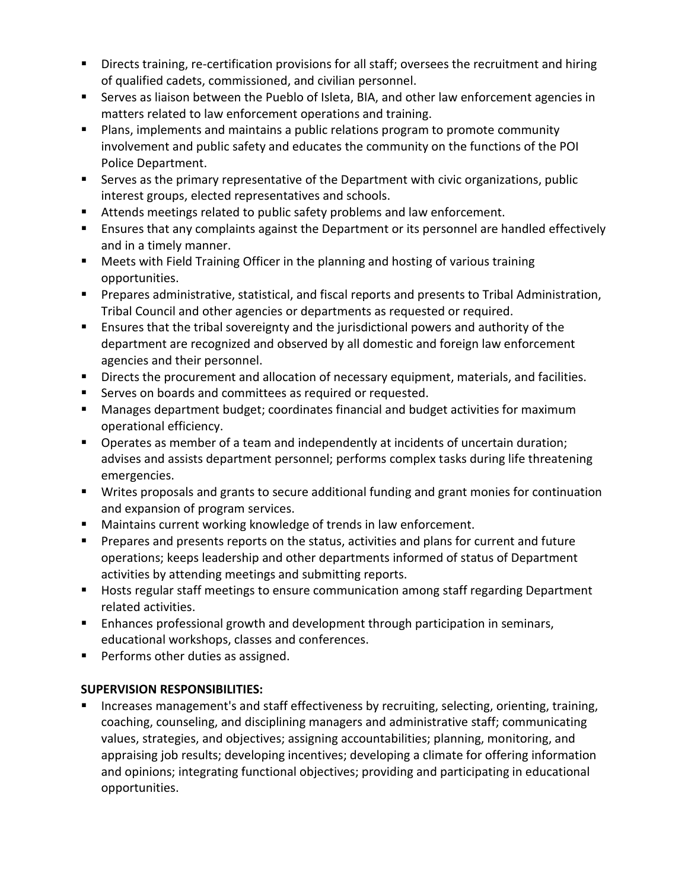- Directs training, re-certification provisions for all staff; oversees the recruitment and hiring of qualified cadets, commissioned, and civilian personnel.
- Serves as liaison between the Pueblo of Isleta, BIA, and other law enforcement agencies in matters related to law enforcement operations and training.
- **Plans, implements and maintains a public relations program to promote community** involvement and public safety and educates the community on the functions of the POI Police Department.
- Serves as the primary representative of the Department with civic organizations, public interest groups, elected representatives and schools.
- Attends meetings related to public safety problems and law enforcement.
- Ensures that any complaints against the Department or its personnel are handled effectively and in a timely manner.
- **Meets with Field Training Officer in the planning and hosting of various training** opportunities.
- **Prepares administrative, statistical, and fiscal reports and presents to Tribal Administration,** Tribal Council and other agencies or departments as requested or required.
- Ensures that the tribal sovereignty and the jurisdictional powers and authority of the department are recognized and observed by all domestic and foreign law enforcement agencies and their personnel.
- **Directs the procurement and allocation of necessary equipment, materials, and facilities.**
- **Serves on boards and committees as required or requested.**
- **Manages department budget; coordinates financial and budget activities for maximum** operational efficiency.
- **Dearates as member of a team and independently at incidents of uncertain duration;** advises and assists department personnel; performs complex tasks during life threatening emergencies.
- Writes proposals and grants to secure additional funding and grant monies for continuation and expansion of program services.
- Maintains current working knowledge of trends in law enforcement.
- **Prepares and presents reports on the status, activities and plans for current and future** operations; keeps leadership and other departments informed of status of Department activities by attending meetings and submitting reports.
- **Hosts regular staff meetings to ensure communication among staff regarding Department** related activities.
- **Enhances professional growth and development through participation in seminars,** educational workshops, classes and conferences.
- **Performs other duties as assigned.**

# **SUPERVISION RESPONSIBILITIES:**

 Increases management's and staff effectiveness by recruiting, selecting, orienting, training, coaching, counseling, and disciplining managers and administrative staff; communicating values, strategies, and objectives; assigning accountabilities; planning, monitoring, and appraising job results; developing incentives; developing a climate for offering information and opinions; integrating functional objectives; providing and participating in educational opportunities.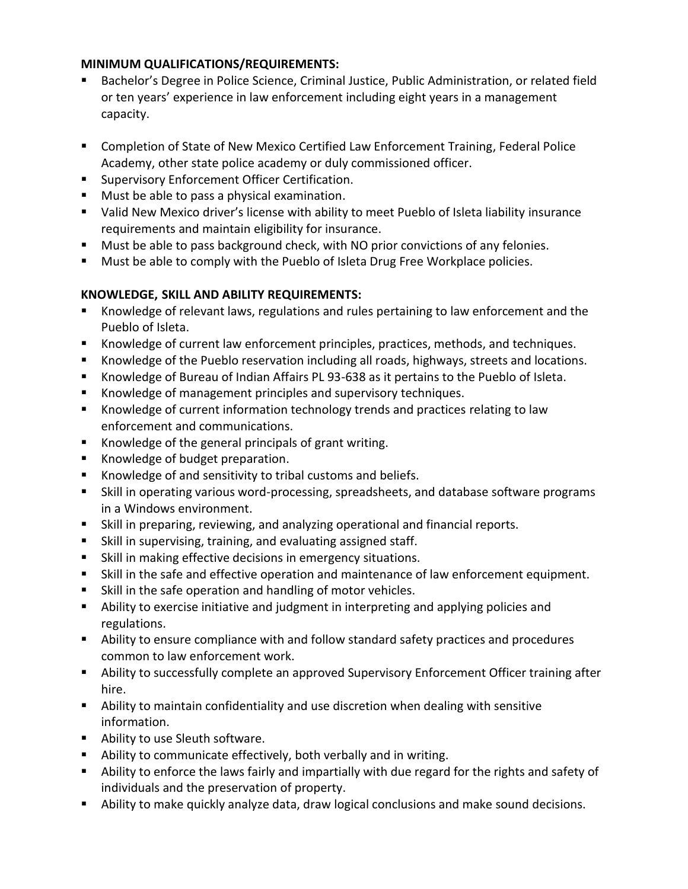### **MINIMUM QUALIFICATIONS/REQUIREMENTS:**

- Bachelor's Degree in Police Science, Criminal Justice, Public Administration, or related field or ten years' experience in law enforcement including eight years in a management capacity.
- Completion of State of New Mexico Certified Law Enforcement Training, Federal Police Academy, other state police academy or duly commissioned officer.
- **Supervisory Enforcement Officer Certification.**
- Must be able to pass a physical examination.
- Valid New Mexico driver's license with ability to meet Pueblo of Isleta liability insurance requirements and maintain eligibility for insurance.
- **Must be able to pass background check, with NO prior convictions of any felonies.**
- **Must be able to comply with the Pueblo of Isleta Drug Free Workplace policies.**

# **KNOWLEDGE, SKILL AND ABILITY REQUIREMENTS:**

- Knowledge of relevant laws, regulations and rules pertaining to law enforcement and the Pueblo of Isleta.
- Knowledge of current law enforcement principles, practices, methods, and techniques.
- Knowledge of the Pueblo reservation including all roads, highways, streets and locations.
- Knowledge of Bureau of Indian Affairs PL 93-638 as it pertains to the Pueblo of Isleta.
- Knowledge of management principles and supervisory techniques.
- **K**nowledge of current information technology trends and practices relating to law enforcement and communications.
- Knowledge of the general principals of grant writing.
- Knowledge of budget preparation.
- Knowledge of and sensitivity to tribal customs and beliefs.
- Skill in operating various word-processing, spreadsheets, and database software programs in a Windows environment.
- Skill in preparing, reviewing, and analyzing operational and financial reports.
- Skill in supervising, training, and evaluating assigned staff.
- Skill in making effective decisions in emergency situations.
- Skill in the safe and effective operation and maintenance of law enforcement equipment.
- Skill in the safe operation and handling of motor vehicles.
- Ability to exercise initiative and judgment in interpreting and applying policies and regulations.
- Ability to ensure compliance with and follow standard safety practices and procedures common to law enforcement work.
- Ability to successfully complete an approved Supervisory Enforcement Officer training after hire.
- Ability to maintain confidentiality and use discretion when dealing with sensitive information.
- **Ability to use Sleuth software.**
- Ability to communicate effectively, both verbally and in writing.
- Ability to enforce the laws fairly and impartially with due regard for the rights and safety of individuals and the preservation of property.
- Ability to make quickly analyze data, draw logical conclusions and make sound decisions.